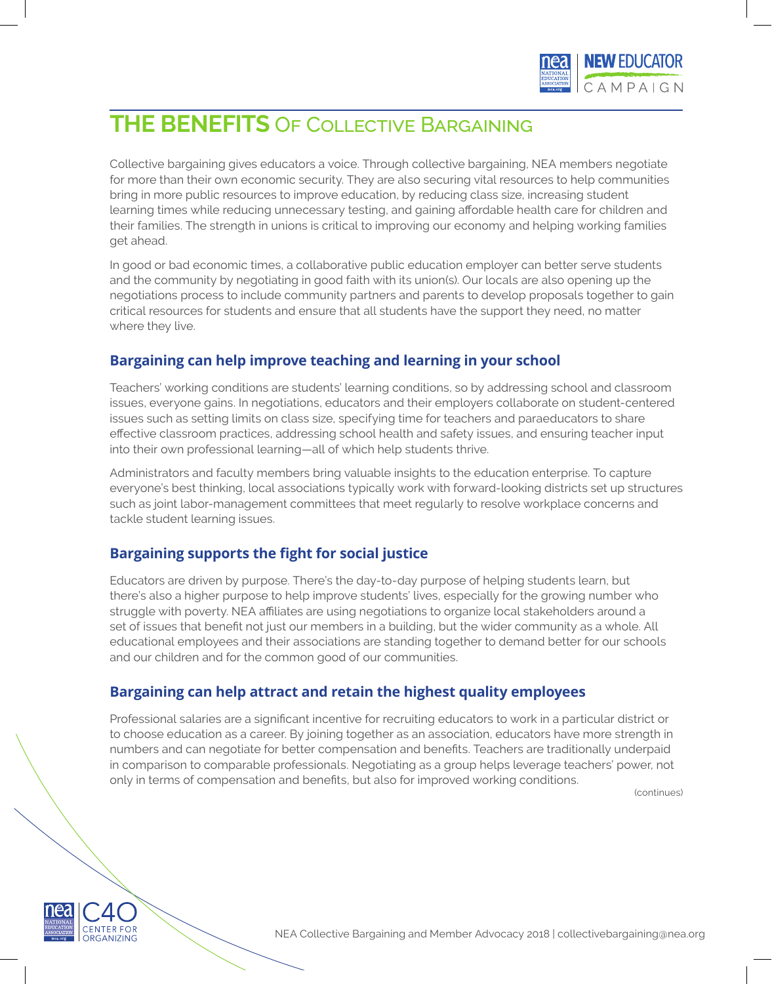

# **THE BENEFITS** Of Collective Bargaining

Collective bargaining gives educators a voice. Through collective bargaining, NEA members negotiate for more than their own economic security. They are also securing vital resources to help communities bring in more public resources to improve education, by reducing class size, increasing student learning times while reducing unnecessary testing, and gaining affordable health care for children and their families. The strength in unions is critical to improving our economy and helping working families get ahead.

In good or bad economic times, a collaborative public education employer can better serve students and the community by negotiating in good faith with its union(s). Our locals are also opening up the negotiations process to include community partners and parents to develop proposals together to gain critical resources for students and ensure that all students have the support they need, no matter where they live.

# **Bargaining can help improve teaching and learning in your school**

Teachers' working conditions are students' learning conditions, so by addressing school and classroom issues, everyone gains. In negotiations, educators and their employers collaborate on student-centered issues such as setting limits on class size, specifying time for teachers and paraeducators to share effective classroom practices, addressing school health and safety issues, and ensuring teacher input into their own professional learning—all of which help students thrive.

Administrators and faculty members bring valuable insights to the education enterprise. To capture everyone's best thinking, local associations typically work with forward-looking districts set up structures such as joint labor-management committees that meet regularly to resolve workplace concerns and tackle student learning issues.

# **Bargaining supports the fight for social justice**

Educators are driven by purpose. There's the day-to-day purpose of helping students learn, but there's also a higher purpose to help improve students' lives, especially for the growing number who struggle with poverty. NEA affiliates are using negotiations to organize local stakeholders around a set of issues that benefit not just our members in a building, but the wider community as a whole. All educational employees and their associations are standing together to demand better for our schools and our children and for the common good of our communities.

## **Bargaining can help attract and retain the highest quality employees**

Professional salaries are a significant incentive for recruiting educators to work in a particular district or to choose education as a career. By joining together as an association, educators have more strength in numbers and can negotiate for better compensation and benefits. Teachers are traditionally underpaid in comparison to comparable professionals. Negotiating as a group helps leverage teachers' power, not only in terms of compensation and benefits, but also for improved working conditions.

(continues)



NEA Collective Bargaining and Member Advocacy 2018 | collectivebargaining@nea.org